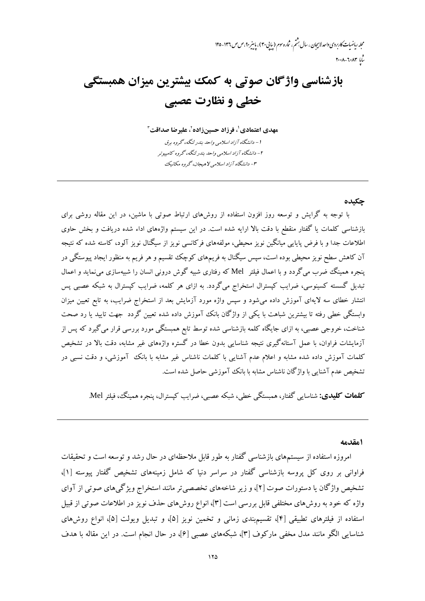محله رماضات کاربردی واحد لاسچان ، سال بشم ، شاره سوم (سایی ۳۰) ، باسر ۹۰، ص ص ۱۳۶- ۱۲۵  $r \cdot \lambda - \lambda \cdot \lambda r$ 

# بازشناسی واژگان صوتی به کمک بیشترین میزان همبستگی خطي و نظارت عصبي

مهدي اعتمادي '، فرزاد حسين;زاده `، عليرضا صداقت `` ۱ – دانشگاه آزاد اسلامی واحد بندر لنگه، گروه برق ۲- دانشگاه آزاد اسلامی واحد بندر لنگه، گروه کامپیوتر ۳- دانشگاه آزاد اسلامی لاهیجان، گروه مکانیک

حكىدە

با توجه به گرایش و توسعه روز افزون استفاده از روشهای ارتباط صوتی با ماشین، در این مقاله روشی برای بازشناسی کلمات یا گفتار منقطع با دقت بالا ارایه شده است. در این سیستم واژههای اداء شده دریافت و بخش حاوی اطلاعات جدا و با فرض پایایی میانگین نویز محیطی، مولفههای فرکانسی نویز از سیگنال نویز آلود، کاسته شده که نتیجه آن کاهش سطح نویز محیطی بوده است، سپس سیگنال به فریمهای کوچک تقسیم و هر فریم به منظور ایجاد پیوستگی در پنجره همینگ ضرب میگردد و با اعمال فیلتر Mel که رفتاری شبیه گوش درونی انسان را شبیهسازی می نماید و اعمال تبدیل گسسته کسینوسی، ضرایب کپسترال استخراج میگردد. به ازای هر کلمه، ضرایب کپسترال به شبکه عصبی پس انتشار خطای سه لایهای آموزش داده می شود و سپس واژه مورد آزمایش بعد از استخراج ضرایب، به تابع تعیین میزان وابستگی خطی رفته تا بیشترین شباهت با یکی از واژگان بانک آموزش داده شده تعیین گردد جهت تایید یا رد صحت شناخت، خروجی عصبی، به ازای جایگاه کلمه بازشناسی شده توسط تابع همبستگی مورد بررسی قرار می گیرد که پس از آزمایشات فراوان، با عمل آستانهگیری نتیجه شناسایی بدون خطا در گستره واژههای غیر مشابه، دقت بالا در تشخیص کلمات آموزش داده شده مشابه و اعلام عدم آشنایی با کلمات ناشناس غیر مشابه با بانک آموزشی، و دقت نسبی در تشخيص عدم آشنايي با واژگان ناشناس مشابه با بانک آموزشي حاصل شده است.

**کلهات کلیدی:** شناسایی گفتار، همبستگی خطی، شبکه عصبی، ضرایب کیسترال، پنجره همینگ، فیلتر Mel.

1مقدمه

امروزه استفاده از سیستمهای بازشناسی گفتار به طور قابل ملاحظهای در حال رشد و توسعه است و تحقیقات فراوانی بر روی کل پروسه بازشناسی گفتار در سراسر دنیا که شامل زمینههای تشخیص گفتار پیوسته [۱]، تشخیص واژگان یا دستورات صوت [۲]، و زیر شاخههای تخصصی تر مانند استخراج ویژگیهای صوتی از آوای واژه که خود به روش های مختلفی قابل بررسی است [۳]، انواع روش های حذف نویز در اطلاعات صوتی از قبیل استفاده از فیلترهای تطبیقی [۴]، تقسیمبندی زمانی و تخمین نویز [۵]، و تبدیل ویولت [۵]، انواع روشهای شناسایی الگو مانند مدل مخفی مارکوف [۳]، شبکههای عصبی [۶]، در حال انجام است. در این مقاله با هدف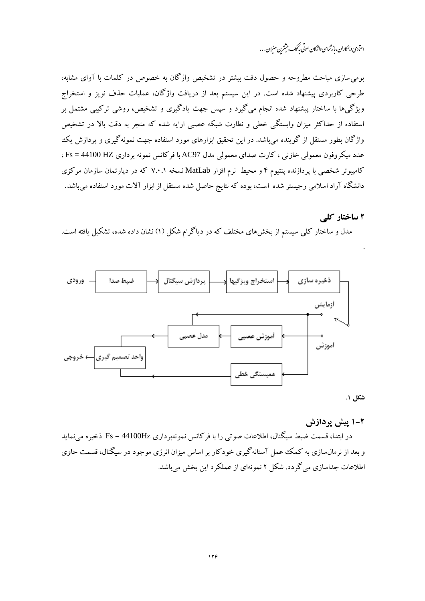اعنآدی و بمکاران، باز ثناسی واژگان صوتی به کک بیشترن منیران . . .

بومی سازی مباحث مطروحه و حصول دقت بیشتر در تشخیص واژگان به خصوص در کلمات با آوای مشابه، طرحی کاربردی پیشنهاد شده است. در این سیستم بعد از دریافت واژگان، عملیات حذف نویز و استخراج .<br>ویژگی۵ها با ساختار پیشنهاد شده انجام میگیرد و سیس جهت یادگیری و تشخیص، روشی ترکیبی مشتمل بر استفاده از حداکثر میزان وابستگی خطی و نظارت شبکه عصبی ارایه شده که منجر به دقت بالا در تشخیص واژگان بطور مستقل از گوینده می باشد. در این تحقیق ابزارهای مورد استفاده جهت نمونهگیری و پردازش یک عدد میکروفون معمولی خازنی ، کارت صدای معمولی مدل AC97 با فرکانس نمونه برداری Fs = 44100 HZ ، کامپیوتر شخصی با پردازنده پنتیوم ۴ و محیط نرم افزار MatLab نسخه ۷.۰.۱ که در دیارتمان سازمان مرکزی دانشگاه آزاد اسلامی رجیستر شده است، بوده که نتایج حاصل شده مستقل از ابزار آلات مورد استفاده میباشد.

#### ۲ ساختار کلے

مدل و ساختار کلی سیستم از بخشهای مختلف که در دیاگرام شکل (۱) نشان داده شده، تشکیل یافته است.



شكل ١.

۲-۱ پیش پردازش

در ابتدا، قسمت ضبط سیگنال، اطلاعات صوتی را با فرکانس نمونهبرداری Fs = 44100Hz ذخیره می نماید و بعد از نرمال سازی به کمک عمل آستانهگیری خودکار بر اساس میزان انرژی موجود در سیگنال، قسمت حاوی اطلاعات جداسازی می گردد. شکل ۲ نمونهای از عملکرد این بخش می باشد.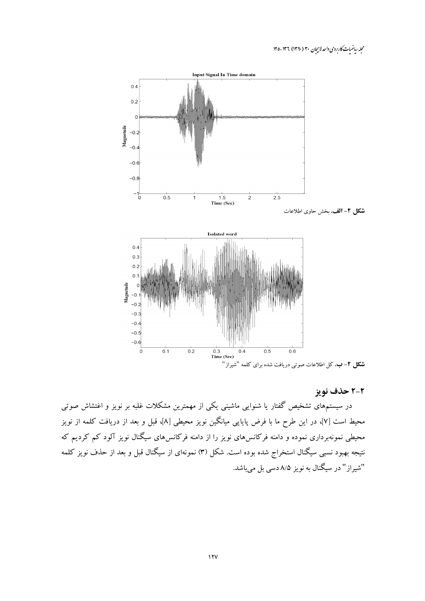محله ریاضیات کاربردی واحد لاسچان ۳۰ (۱۳۹۰) ۱۳۶-۱۲۵



## ۲-۲ حذف نویز

در سیستمهای تشخیص گفتار یا شنوایی ماشینی یکی از مهمترین مشکلات غلبه بر نویز و اغتشاش صوتی محیط است [۷]، در این طرح ما با فرض پایایی میانگین نویز محیطی [۸]، قبل و بعد از دریافت کلمه از نویز محیطی نمونهبرداری نموده و دامنه فرکانس۵ای نویز را از دامنه فرکانس۵ای سیگنال نویز آلود کم کردیم که نتیجه بهبود نسبی سیگنال استخراج شده بوده است. شکل (۳) نمونهای از سیگنال قبل و بعد از حذف نویز کلمه .<br>"شیراز " در سیگنال به نویز ۸/۵ دس<sub>ی</sub> بل میباشد.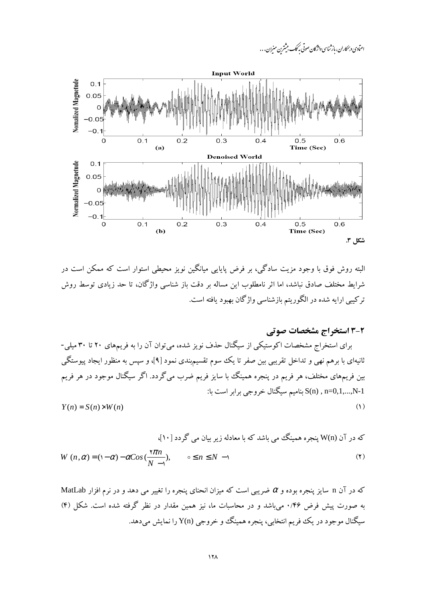



البته روش فوق با وجود مزیت سادگی، بر فرض پایایی میانگین نویز محیطی استوار است که ممکن است در شرايط مختلف صادق نباشد، اما اثر نامطلوب اين مساله بر دقت باز شناسبي واژگان، تا حد زيادي توسط روش ترکیبی ارایه شده در الگوریتم بازشناسی واژگان بهبود یافته است.

2-3 استخراج مشخصات صوتی

برای استخراج مشخصات اکوستیکی از سیگنال حذف نویز شده، می توان آن را به فریمهای ۲۰ تا ۳۰ میلی-ثانیهای با برهم نهی و تداخل تقریبی بین صفر تا یک سوم تقسیم.بندی نمود [۹]، و سپس به منظور ایجاد پیوستگی بین فریمهای مختلف، هر فریم در پنجره همینگ با سایز فریم ضرب میگردد. اگر سیگنال موجود در هر فریم S(n) , n=0,1,...,N-1 بناميم سيگنال خروجي برابر است با:  $(1)$ 

$$
Y(n) = S(n) \times W(n)
$$

که در آن (W(n پنجره همینگ می باشد که با معادله زیر بیان می گردد [۱۰]،

$$
W(n,\alpha) = (1-\alpha) - \alpha \cos\left(\frac{\pi n}{N}\right), \qquad \circ \leq n \leq N-1
$$
 (7)

 $\text{MatLab}$  که در آن n سایز پنجره بوده و  $\alpha$  ضریبی است که میزان انحنای پنجره را تغییر می دهد و در نرم افزار MatLab به صورت پیش فرض ۲۶/۰ می باشد و در محاسبات ما، نیز همین مقدار در نظر گرفته شده است. شکل (۴) سیگنال موجود در یک فریم انتخابی، پنجره همینگ و خروجی (Y(n را نمایش میدهد.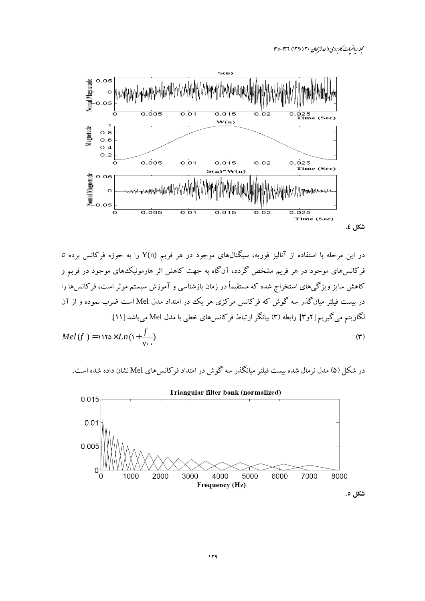محله رماضات کاربردی واحد لاسچان ۳۰ (۱۳۹۰) ۱۳۶-۱۲۵



در این مرحله با استفاده از آنالیز فوریه، سیگنالهای موجود در هر فریم Y(n) را به حوزه فرکانس برده تا فرکانسهای موجود در هر فریم مشخص گردد، آنگاه به جهت کاهش اثر هارمونیک های موجود در فریم و کاهش سایز ویژگیهای استخراج شده که مستقیماً در زمان بازشناسی و آموزش سیستم موثر است، فرکانسها را در بیست فیلتر میانگذر سه گوش که فرکانس مرکزی هر یک در امتداد مدل Mel است ضرب نموده و از آن لگاریتم میگیریم [۲و۳]. رابطه (۳) بیانگر ارتباط فرکانسهای خطی با مدل Mel میباشد [۱۱].  $Mel(f) = \frac{\ln \left(1 + \frac{f}{v}\right)}{v}$  $(\tau)$ 

در شکل (۵) مدل نرمال شده بیست فیلتر میانگذر سه گوش در امتداد فرکانس های Mel نشان داده شده است.

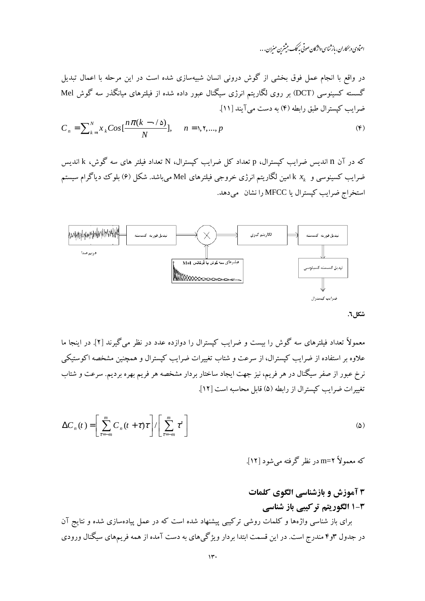اعنآدی و بمکاران، باز ثناسی واژگان صوتی به کک بیشترن منیران . . .

در واقع با انجام عمل فوق بخشی از گوش درونی انسان شبیهسازی شده است در این مرحله با اعمال تبدیل گسسته کسینوسی (DCT) بر روی لگاریتم انرژی سیگنال عبور داده شده از فیلترهای میانگذر سه گوش Mel ضراب كيسترال طبق رابطه (۴) به دست مي آيند [۱۱].

$$
C_n = \sum_{k=1}^{N} x_k \cos\left[\frac{n\pi(k-\cdot/\Delta)}{N}\right], \quad n = 1, 1, ..., p \tag{F}
$$

که در آن n اندیس ضرایب کیسترال، p تعداد کل ضرایب کیسترال، N تعداد فیلتر های سه گوش، k اندیس ضرایب کسینوسی و  $x_k$  امین لگاریتم انرژی خروجی فیلترهای Mel میباشد. شکل (۶) بلوک دیاگرام سیستم استخراج ضرایب کیسترال یا MFCC را نشان می دهد.



شكل ٦.

معمولاً تعداد فیلترهای سه گوش را بیست و ضرایب کپسترال را دوازده عدد در نظر میگیرند [۲]. در اینجا ما علاوه بر استفاده از ضرایب کیسترال، از سرعت و شتاب تغییرات ضرایب کیسترال و همچنین مشخصه اکوستیکی نرخ عبور از صفر سیگنال در هر فریم، نیز جهت ایجاد ساختار بردار مشخصه هر فریم بهره بردیم. سرعت و شتاب تغييرات ضرايب كيسترال از رابطه (۵) قابل محاسبه است [١٢].

$$
\Delta C_n(t) = \left[ \sum_{\tau=-m}^m C_n(t+\tau)\tau \right] / \left[ \sum_{\tau=-m}^m \tau^r \right]
$$
 (2)

که معمولاً ۲=m در نظر گرفته می شود [۱۲].

# ۳ آموزش و بازشناسی الگوی کلمات **۳-۱ الگوریتم ترکیبی باز شناسی**

برای باز شناسی واژهها و کلمات روشی ترکیبی پیشنهاد شده است که در عمل پیادهسازی شده و نتایج آن در جدول ۳و۴ مندرج است. در این قسمت ابتدا بردار ویژگیهای به دست آمده از همه فریمهای سیگنال ورودی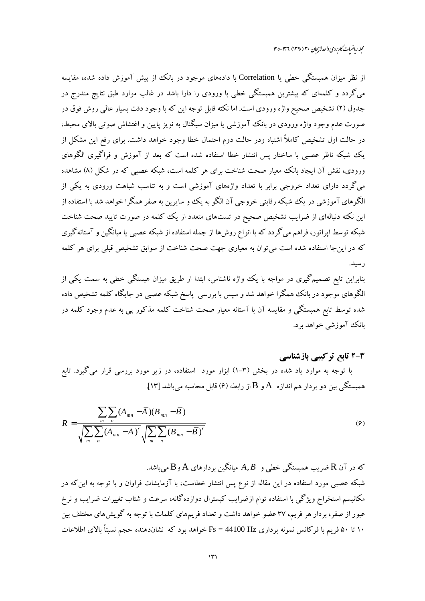از نظر میزان همبستگی خطی یا Correlation با دادههای موجود در بانک از پیش آموزش داده شده، مقایسه می گردد و کلمهای که بیشترین همبستگی خطی با ورودی را دارا باشد در غالب موارد طبق نتایج مندرج در جدول (۲) تشخیص صحیح واژه ورودی است. اما نکته قابل توجه این که با وجود دقت بسیار عالی روش فوق در صورت عدم وجود واژه ورودی در بانک آموزشی یا میزان سیگنال به نویز پایین و اغتشاش صوتی بالای محیط، در حالت اول تشخیص کاملاً اشتباه ودر حالت دوم احتمال خطا وجود خواهد داشت. برای رفع این مشکل از یک شبکه ناظر عصبی با ساختار پس انتشار خطا استفاده شده است که بعد از آموزش و فراگیری الگوهای ورودی، نقش آن ایجاد بانک معیار صحت شناخت برای هر کلمه است، شبکه عصبی که در شکل (۸) مشاهده میگردد دارای تعداد خروجی برابر با تعداد واژههای آموزشی است و به تناسب شباهت ورودی به یکی از الگوهای آموزشی در یک شبکه رقابتی خروجی آن الگو به یک وو سایرین به صفر همگرا خواهد شد با استفاده از این نکته دنبالهای از ضرایب تشخیص صحیح در تستهای متعدد از یک کلمه در صورت تایید صحت شناخت شبکه توسط اپراتور، فراهم میگردد که با انواع روشها از جمله استفاده از شبکه عصبی یا میانگین و آستانهگیری که در اینجا استفاده شده است می توان به معیاری جهت صحت شناخت از سوابق تشخیص قبلی برای هر کلمه ر سىد.

بنابراین تابع تصمیمگیری در مواجه با یک واژه ناشناس، ابتدا از طریق میزان هبستگی خطی به سمت یکی از الگوهای موجود در بانک همگرا خواهد شد و سپس با بررسی پاسخ شبکه عصبی در جایگاه کلمه تشخیص داده شده توسط تابع همبستگی و مقایسه آن با آستانه معیار صحت شناخت کلمه مذکور یی به عدم وجود کلمه در بانک آموزشی خواهد برد.

# ۳-۲ تابع ترکیبی بازشناسی

با توجه به موارد یاد شده در بخش (۳–۱) ابزار مورد استفاده، در زیر مورد بررسی قرار میگیرد. تابع همبستگی بین دو بردار هم اندازه  $\rm A$ و  $\rm B$ از رابطه (۶) قابل محاسبه میباشد [۱۳].

$$
R = \frac{\sum_{m} \sum_{n} (A_{mn} - \overline{A})(B_{mn} - \overline{B})}{\sqrt{\sum_{m} \sum_{n} (A_{mn} - \overline{A})^{r}} \sqrt{\sum_{m} \sum_{n} (B_{mn} - \overline{B})^{r}}}
$$
(9)

که در آن R ضریب همبستگی خطی و  $\overline{A},\overline{B}$  میانگین بردارهای A و $\rm B$  می باشد. شبکه عصبی مورد استفاده در این مقاله از نوع پس انتشار خطاست، با آزمایشات فراوان و با توجه به این که در مکانیسم استخراج ویژگی با استفاده توام ازضرایب کپسترال دوازدهگانه، سرعت و شتاب تغییرات ضرایب و نرخ عبور از صفر، بردار هر فریم، ۳۷ عضو خواهد داشت و تعداد فریمهای کلمات با توجه به گویش های مختلف بین ۱۰ تا ۵۰ فریم با فرکانس نمونه برداری Fs = 44100 Hz خواهد بود که نشاندهنده حجم نسبتاً بالای اطلاعات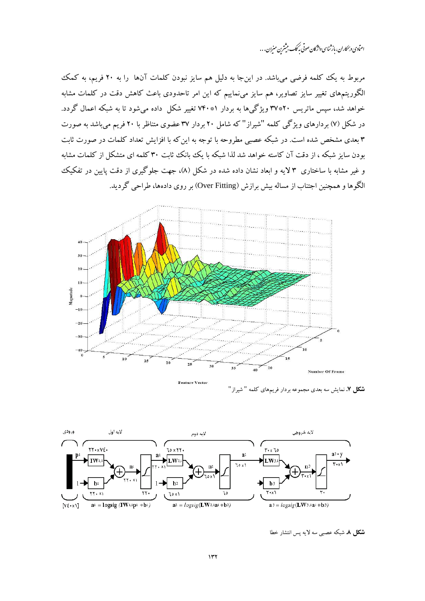اعنآدی و بمکاران، باز ثناسی واژگان صوتی به کک بیشترن منیران . . .

مربوط به یک کلمه فرضی میباشد. در اینجا به دلیل هم سایز نبودن کلمات آنها را به ۲۰ فریم، به کمک الگوریتمهای تغییر سایز تصاویر، هم سایز می $i$ ماییم که این امر تاحدودی باعث کاهش دقت در کلمات مشابه خواهد شد، سپس ماتریس ۲۰\*۳۷ ویژگیها به بردار ۷۴۰\* تغییر شکل داده میشود تا به شبکه اعمال گردد. در شکل (۷) بردارهای ویژگی کلمه "شیراز" که شامل ۲۰ بردار ۳۷ عضوی متناظر با ۲۰ فریم می باشد به صورت ۳ بعدی مشخص شده است. در شبکه عصبی مطروحه با توجه به این که با افزایش تعداد کلمات در صورت ثابت بودن سایز شبکه ، از دقت آن کاسته خواهد شد لذا شبکه با یک بانک ثابت ۳۰ کلمه ای متشکل از کلمات مشابه و غیر مشابه با ساختاری ۳ لایه و ابعاد نشان داده شده در شکل (۸)، جهت جلوگیری از دقت پایین در تفکیک الگوها و همچنین اجتناب از مساله بیش برازش (Over Fitting) بر روی دادهها، طراحی گردید.



**شکل ۷.** نمایش سه بعدی مجموعه بردار فریمهای کلمه " شیراز"



**شکل ۸.** شبکه عصبی سه لایه پس انتشار خطا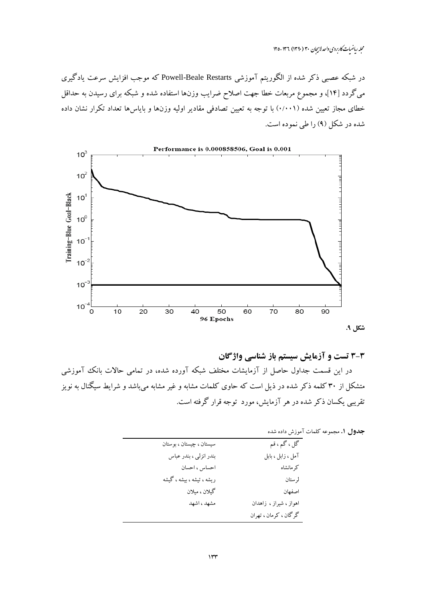در شبکه عصبی ذکر شده از الگوریتم آموزشی Powell-Beale Restarts که موجب افزایش سرعت یادگیری میگردد [۱۴]، و مجموع مربعات خطا جهت اصلاح ضرایب وزن۱ها استفاده شده و شبکه برای رسیدن به حداقل خطای مجاز تعیین شده (۰/۰۰۱) با توجه به تعیین تصادفی مقادیر اولیه وزنها و بایاسها تعداد تکرار نشان داده شده در شکل (۹) را طی نموده است.



## 3-3 تست و آزمایش سیستم باز شناسی واژگان

در این قسمت جداول حاصل از آزمایشات مختلف شبکه آورده شده، در تمامی حالات بانک آموزشی متشکل از ۳۰ کلمه ذکر شده در ذیل است که حاوی کلمات مشابه و غیر مشابه میباشد و شرایط سیگنال به نویز تقریبی یکسان ذکر شده در هر آزمایش، مورد توجه قرار گرفته است.

جدول ١. مجموعه كلمات آموزش داده شده

| گل ، گم ، قم           | سيستان ، چيستان ، بوستان  |
|------------------------|---------------------------|
| آمل ، زابل ، بابل      | بندر انزلي ، بندر عباس    |
| كرمانشاه               | احساس ، احسان             |
| لرستان                 | ریشه ، تیشه ، بیشه ، گیشه |
| اصفهان                 | گيلان ، ميلان             |
| اهواز ، شیراز ، زاهدان | مشهد ، اشهد               |
| گرگان ، كرمان ، تهران  |                           |
|                        |                           |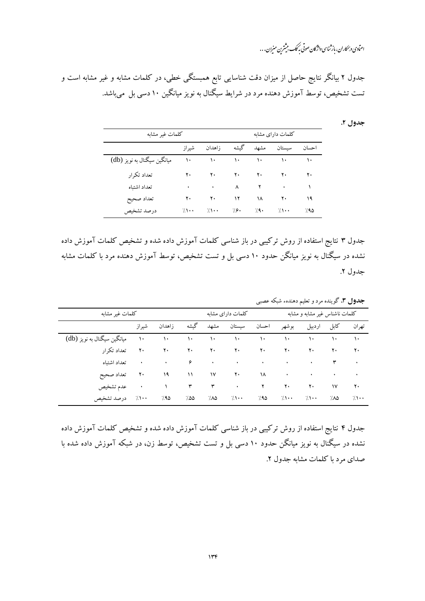# اعتمادی و به کاران، باز ثناسی واژگان صوتی به کمک میشترین منیران . . .

جدول ۲ بیانگر نتایج حاصل از میزان دقت شناسایی تابع همبستگی خطی، در کلمات مشابه و غیر مشابه است و تست تشخیص، توسط آموزش دهنده مرد در شرایط سیگنال به نویز میانگین ۱۰ دسی بل میباشد.

#### جدول ۲.

| كلمات غير مشابه             |            |                          |                |                            | كلمات داراي مشابه                                                                               |                 |  |  |
|-----------------------------|------------|--------------------------|----------------|----------------------------|-------------------------------------------------------------------------------------------------|-----------------|--|--|
|                             | شىر از     | زاهدان                   | گىشە           |                            | احسان سيستان مشهد                                                                               |                 |  |  |
| میانگین سیگنال به نویز (db) | ١٠         |                          |                |                            | $\mathcal{N}^*$ and $\mathcal{N}^*$ and $\mathcal{N}^*$ are $\mathcal{N}^*$ and $\mathcal{N}^*$ |                 |  |  |
| تعداد تكرار                 | ۲۰         |                          |                |                            |                                                                                                 | $\mathbf{Y}$    |  |  |
| تعداد اشتباه                | ۰          | $\rightarrow$            |                | $\wedge$ $\wedge$ $\wedge$ |                                                                                                 | $\rightarrow$   |  |  |
| تعداد صحيح                  |            | $Y \cdot \qquad Y \cdot$ | $\overline{y}$ | $\lambda$                  | $\mathbf{Y}$                                                                                    | $\overline{19}$ |  |  |
| درصد تشخيص                  | $7 \cdots$ | $\gamma \rightarrow$     | 79.            | /9.                        | $\sqrt{ }$                                                                                      | 79۵             |  |  |

جدول ۳ نتایج استفاده از روش ترکیبی در باز شناسی کلمات آموزش داده شده و تشخیص کلمات آموزش داده نشده در سیگنال به نویز میانگن حدود ۱۰ دسی بل و تست تشخیص، توسط آموزش دهنده مرد با کلمات مشابه جدول ٢.

<mark>جدول ۳.</mark> گوینده مرد و تعلیم دهندهء شبکه عصبی

| كلمات غير مشابه                      |              |              |       | كلمات داراي مشابه |                                                                                                                                                                                                                                                                                                                                                                                                                                                                                                                                                                                     |  |        | كلمات ناشناس غير مشابه و مشابه |                   |          |  |
|--------------------------------------|--------------|--------------|-------|-------------------|-------------------------------------------------------------------------------------------------------------------------------------------------------------------------------------------------------------------------------------------------------------------------------------------------------------------------------------------------------------------------------------------------------------------------------------------------------------------------------------------------------------------------------------------------------------------------------------|--|--------|--------------------------------|-------------------|----------|--|
|                                      |              | زاهدان شيراز | گىشە  |                   | احسان سيستان مشهد                                                                                                                                                                                                                                                                                                                                                                                                                                                                                                                                                                   |  | بو شهر | کابل اردبیل                    |                   | تهران    |  |
| ۱۰       میانگین سیگنال به نویز (db) |              |              |       |                   | $\mathcal{A} \leftarrow \mathcal{A} \leftarrow \mathcal{A} \leftarrow \mathcal{A} \leftarrow \mathcal{A} \leftarrow \mathcal{A} \leftarrow \mathcal{A} \leftarrow \mathcal{A} \leftarrow \mathcal{A} \leftarrow \mathcal{A} \leftarrow \mathcal{A} \leftarrow \mathcal{A} \leftarrow \mathcal{A} \leftarrow \mathcal{A} \leftarrow \mathcal{A} \leftarrow \mathcal{A} \leftarrow \mathcal{A} \leftarrow \mathcal{A} \leftarrow \mathcal{A} \leftarrow \mathcal{A} \leftarrow \mathcal{A} \leftarrow \mathcal{A} \leftarrow \mathcal{A} \leftarrow \mathcal{A} \leftarrow \mathcal{$ |  |        |                                |                   |          |  |
| تعداد تكرار                          | $\mathbf{Y}$ | $\mathbf{y}$ | $Y +$ |                   | $\mathsf{Y} \cdot \qquad \qquad \mathsf{Y} \cdot \qquad \qquad \mathsf{Y} \cdot \qquad \qquad \mathsf{Y} \cdot$                                                                                                                                                                                                                                                                                                                                                                                                                                                                     |  |        | $\mathbf{Y}$                   | $Y \cdot Y \cdot$ |          |  |
| ۰ تعداد اشتباه                       |              |              |       |                   |                                                                                                                                                                                                                                                                                                                                                                                                                                                                                                                                                                                     |  |        |                                |                   |          |  |
| تعداد صحيح                           | ٢٠           | ۱۹           |       |                   | $\mathcal{N}$ $\mathcal{N}$ $\mathcal{N}$ $\mathcal{N}$ $\mathcal{N}$ $\mathcal{N}$ $\mathcal{N}$ $\mathcal{N}$ $\mathcal{N}$ $\mathcal{N}$ $\mathcal{N}$ $\mathcal{N}$ $\mathcal{N}$ $\mathcal{N}$ $\mathcal{N}$ $\mathcal{N}$ $\mathcal{N}$ $\mathcal{N}$ $\mathcal{N}$ $\mathcal{N}$ $\mathcal{N}$ $\mathcal{N}$ $\mathcal{N}$ $\mathcal{N}$ $\mathcal{$                                                                                                                                                                                                                         |  |        |                                |                   |          |  |
| عدم تشخيص                            | ٠            |              |       |                   | $\mathcal{N} = \mathcal{N} = \mathcal{N} = \mathcal{N} = \mathcal{N} = \mathcal{N} = \mathcal{N}$                                                                                                                                                                                                                                                                                                                                                                                                                                                                                   |  |        |                                | $\mathsf{N}$      | ٢٠       |  |
| ۱۰۰٪ درصد تشخیص                      |              | 790          | 700   |                   | $7\lambda\Delta$ $7\lambda\cdots$ $7\lambda\Delta$                                                                                                                                                                                                                                                                                                                                                                                                                                                                                                                                  |  |        |                                | 7.۸۵              | $\gamma$ |  |

جدول ۴ نتایج استفاده از روش ترکیبی در باز شناسی کلمات آموزش داده شده و تشخیص کلمات آموزش داده نشده در سیگنال به نویز میانگن حدود ۱۰ دسی بل و تست تشخیص، توسط زن، در شبکه آموزش داده شده با صدای مرد با کلمات مشابه جدول ۲.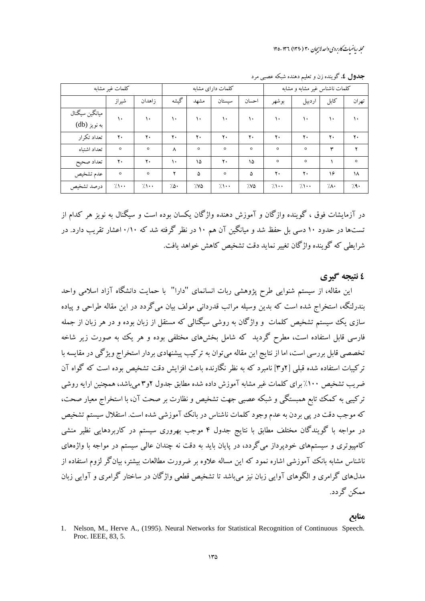محله رماضیات کاربردی واحد لاسچان ۳۰ (۱۳۹۰) ۱۳۶-۱۲۵

|                                | كلمات غير مشابه |                 | كلمات داراي مشابه |         |               |               | كلمات ناشناس غير مشابه و مشابه |                      |      |         |
|--------------------------------|-----------------|-----------------|-------------------|---------|---------------|---------------|--------------------------------|----------------------|------|---------|
|                                | شيراز           | زاهدان          | گیشه              | مشهد    | سيستان        | احسان         | بوشهر                          | اردبيل               | كابل | تهران   |
| ميانگين سيگنال<br>به نویز (db) | $\mathcal{L}$   | ١٠              | $\mathcal{N}$     | ١٠      | $\mathcal{L}$ | $\mathcal{L}$ | ١٠                             | ١٠                   | ۱۰   | ۱۰      |
| تعداد تكرار                    | ۲٠              | ۲.              | ۲.                | ٢٠      | ۲٠            | ٢٠            | ۲٠                             | ۲٠                   | ٢.   | ۲٠      |
| تعداد اشتباه                   | $\circ$         | $\circ$         | ٨                 | $\circ$ | $\circ$       | $\circ$       | $\circ$                        | $\circ$              | ۳    | ۲       |
| تعداد صحيح                     | ۲٠              | ۲.              | $\mathcal{L}$     | ۱۵      | $Y +$         | ۱۵            | $\circ$                        | $\circ$              |      | $\circ$ |
| عدم تشخيص                      | $\circ$         | $\circ$         | ۲                 | ۵       | $\circ$       | ۵             | ۲٠                             | ۲٠                   | ۱۶   | ۱۸      |
| درصد تشخيص                     | $7 \cdot \cdot$ | $7 \cdot \cdot$ | ۰۵۰               | 7۷۵     | 7.1           | 7/8           | $7 \cdot \cdot$                | $\gamma \rightarrow$ | ٠/٨٠ | 79.     |

**جدول ٤.** گوينده زن و تعليم دهنده شبكه عصبي مرد

در آزمایشات فوق ، گوینده وازگان و آموزش دهنده واژگان یکسان بوده است و سیگنال به نویز هر کدام از تستها در حدود ۱۰ دسی بل حفظ شد و میانگین آن هم ۱۰ در نظر گرفته شد که ۰/۱۰ اعشار تقریب دارد. در شرايطي كه گوينده واژگان تغيير نمايد دقت تشخيص كاهش خواهد يافت.

## ٤ نتيجه گيري

این مقاله، از سیستم شنوایی طرح پژوهشی ربات انسانمای "دارا" با حمایت دانشگاه آزاد اسلامی واحد بندرلنگه، استخراج شده است که بدین وسیله مراتب قدردانی مولف بیان میگردد در این مقاله طراحی و پیاده سازی یک سیستم تشخیص کلمات و واژگان به روشی سیگنالی که مستقل از زبان بوده و در هر زبان از جمله فارسی قابل استفاده است، مطرح گردید که شامل بخشهای مختلفی بوده و هر یک به صورت زیر شاخه ۔<br>تخصصی قابل بررسی است، اما از نتایج این مقاله می توان به ترکیب پیشنهادی بردار استخراج ویژگی در مقایسه با ترکیبات استفاده شده قبلی [۶م] نامبرد که به نظر نگارنده باعث افزایش دقت تشخیص بوده است که گواه آن ضریب تشخیص ۱۰۰٪ برای کلمات غیر مشابه آموزش داده شده مطابق جدول ۲و۳ می باشد، همچنین ارایه روشی ترکیبی به کمک تابع همبستگی و شبکه عصبی جهت تشخیص و نظارت بر صحت آن، با استخراج معیار صحت، که موجب دقت در پی بردن به عدم وجود کلمات ناشناس در بانک آموزشی شده است. استقلال سیستم تشخیص در مواجه با گویندگان مختلف مطابق با نتایج جدول ۴ موجب بهروری سیستم در کاربردهایی نظیر منشی کامپیوتری و سیستمهای خودپرداز میگردد، در پایان باید به دقت نه چندان عالی سیستم در مواجه با واژههای ناشناس مشابه بانک آموزشی اشاره نمود که این مساله علاوه بر ضرورت مطالعات بیشتر، بیانگر لزوم استفاده از مدلهای گرامری و الگوهای آوایی زبان نیز می باشد تا تشخیص قطعی واژگان در ساختار گرامری و آوایی زبان ممکن گر دد.

### منابع

<sup>1.</sup> Nelson, M., Herve A., (1995). Neural Networks for Statistical Recognition of Continuous Speech. Proc. IEEE, 83, 5.